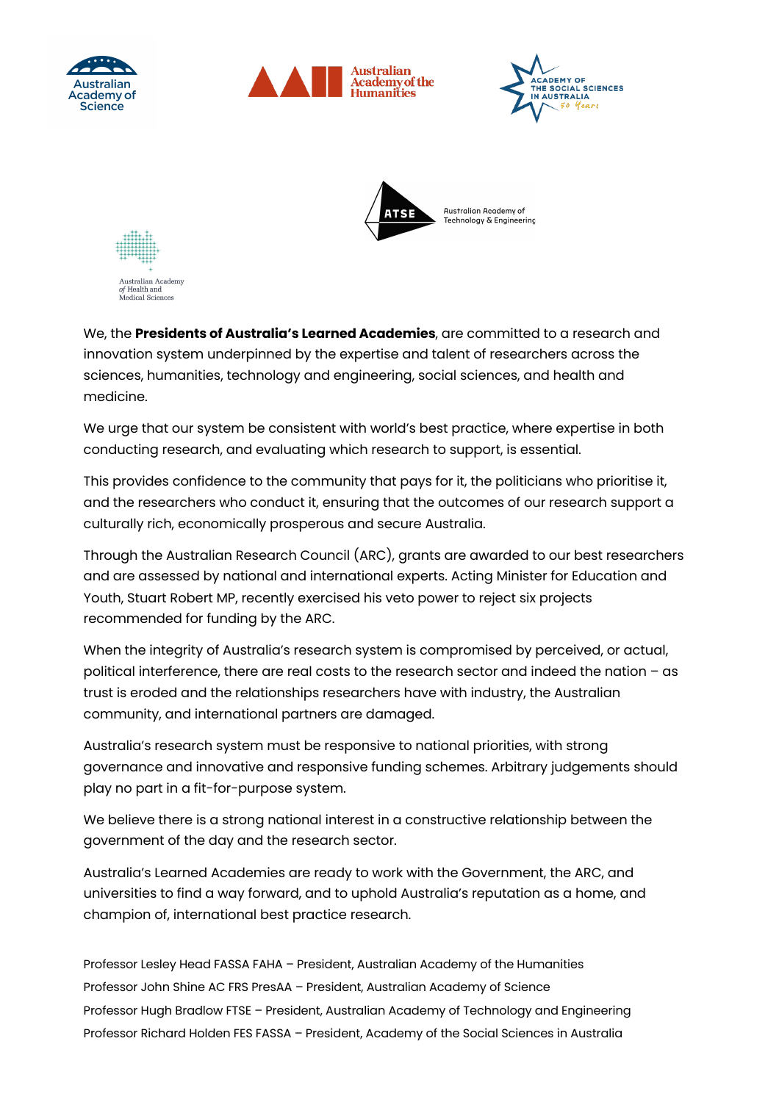







Australian Academy *of* Health and<br>Medical Scien dical Sciences

We, the **Presidents of Australia's Learned Academies**, are committed to a research and innovation system underpinned by the expertise and talent of researchers across the sciences, humanities, technology and engineering, social sciences, and health and medicine.

We urge that our system be consistent with world's best practice, where expertise in both conducting research, and evaluating which research to support, is essential.

This provides confidence to the community that pays for it, the politicians who prioritise it, and the researchers who conduct it, ensuring that the outcomes of our research support a culturally rich, economically prosperous and secure Australia.

Through the Australian Research Council (ARC), grants are awarded to our best researchers and are assessed by national and international experts. Acting Minister for Education and Youth, Stuart Robert MP, recently exercised his veto power to reject six projects recommended for funding by the ARC.

When the integrity of Australia's research system is compromised by perceived, or actual, political interference, there are real costs to the research sector and indeed the nation – as trust is eroded and the relationships researchers have with industry, the Australian community, and international partners are damaged.

Australia's research system must be responsive to national priorities, with strong governance and innovative and responsive funding schemes. Arbitrary judgements should play no part in a fit-for-purpose system.

We believe there is a strong national interest in a constructive relationship between the government of the day and the research sector.

Australia's Learned Academies are ready to work with the Government, the ARC, and universities to find a way forward, and to uphold Australia's reputation as a home, and champion of, international best practice research.

Professor Lesley Head FASSA FAHA – President, Australian Academy of the Humanities Professor John Shine AC FRS PresAA – President, Australian Academy of Science Professor Hugh Bradlow FTSE – President, Australian Academy of Technology and Engineering Professor Richard Holden FES FASSA – President, Academy of the Social Sciences in Australia